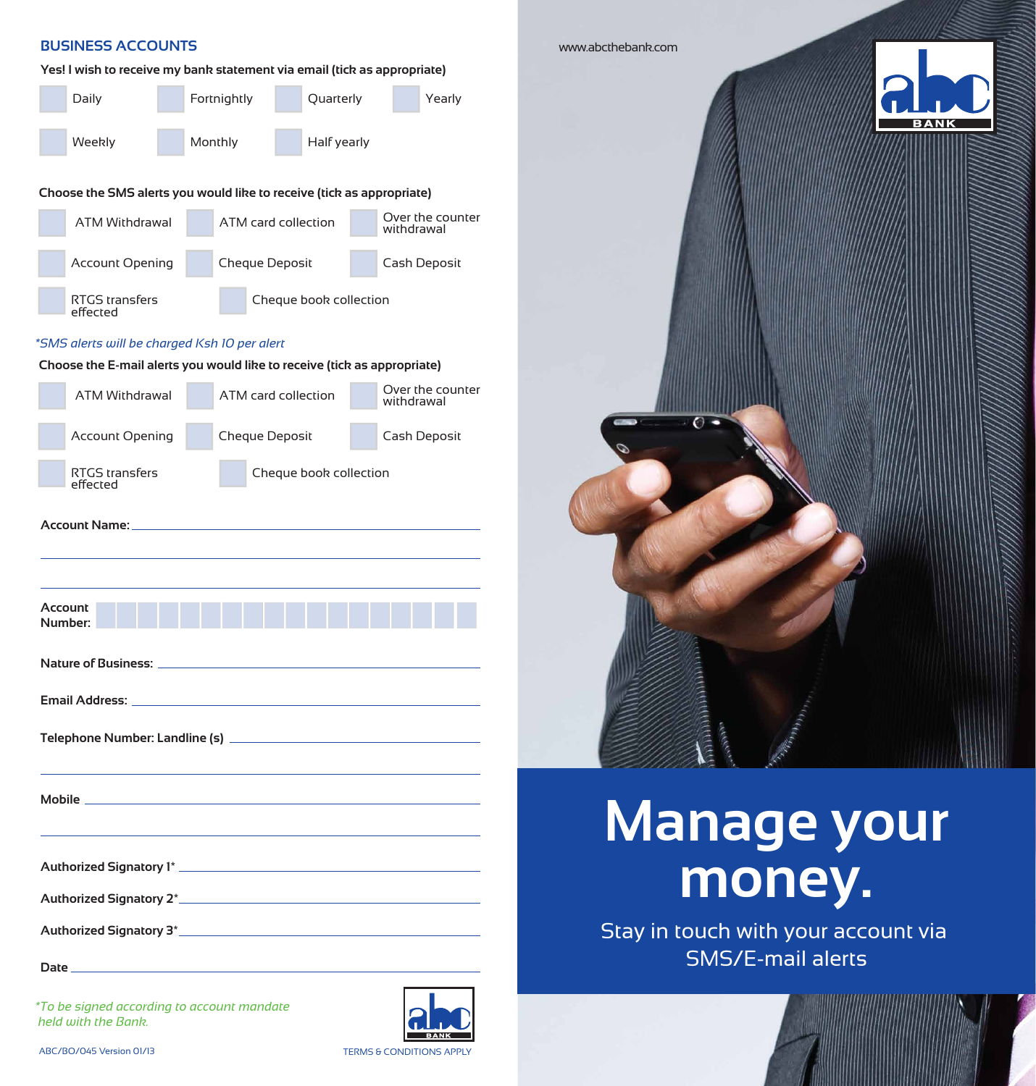| Daily                                                                    |  | Fortnightly |                        | Quarterly   | Yearly                         |  |  |
|--------------------------------------------------------------------------|--|-------------|------------------------|-------------|--------------------------------|--|--|
| Weekly                                                                   |  | Monthly     |                        | Half yearly |                                |  |  |
| Choose the SMS alerts you would like to receive (tick as appropriate)    |  |             |                        |             |                                |  |  |
| <b>ATM Withdrawal</b>                                                    |  |             | ATM card collection    |             | Over the counter<br>withdrawal |  |  |
| <b>Account Opening</b>                                                   |  |             | Cheque Deposit         |             | Cash Deposit                   |  |  |
| <b>RTGS transfers</b><br>effected                                        |  |             | Cheque book collection |             |                                |  |  |
| *SMS alerts will be charged Ksh 10 per alert                             |  |             |                        |             |                                |  |  |
| Choose the E-mail alerts you would like to receive (tick as appropriate) |  |             |                        |             |                                |  |  |
| <b>ATM Withdrawal</b>                                                    |  |             | ATM card collection    |             | Over the counter<br>withdrawal |  |  |
| <b>Account Opening</b>                                                   |  |             | Cheque Deposit         |             | Cash Deposit                   |  |  |
|                                                                          |  |             |                        |             |                                |  |  |
| <b>RTGS transfers</b><br>effected                                        |  |             | Cheque book collection |             |                                |  |  |
|                                                                          |  |             |                        |             |                                |  |  |
| Account Name: _<br>Account<br>Number:                                    |  |             |                        |             |                                |  |  |
|                                                                          |  |             |                        |             |                                |  |  |
| Nature of Business: _                                                    |  |             |                        |             |                                |  |  |
| Email Address: _                                                         |  |             |                        |             |                                |  |  |
|                                                                          |  |             |                        |             |                                |  |  |
|                                                                          |  |             |                        |             |                                |  |  |
| Mobile _                                                                 |  |             |                        |             |                                |  |  |
|                                                                          |  |             |                        |             |                                |  |  |
| Authorized Signatory 2*                                                  |  |             |                        |             |                                |  |  |

*\*To be signed according to account mandate held with the Bank.*





# **Manage your money.**

Stay in touch with your account via SMS/E-mail alerts